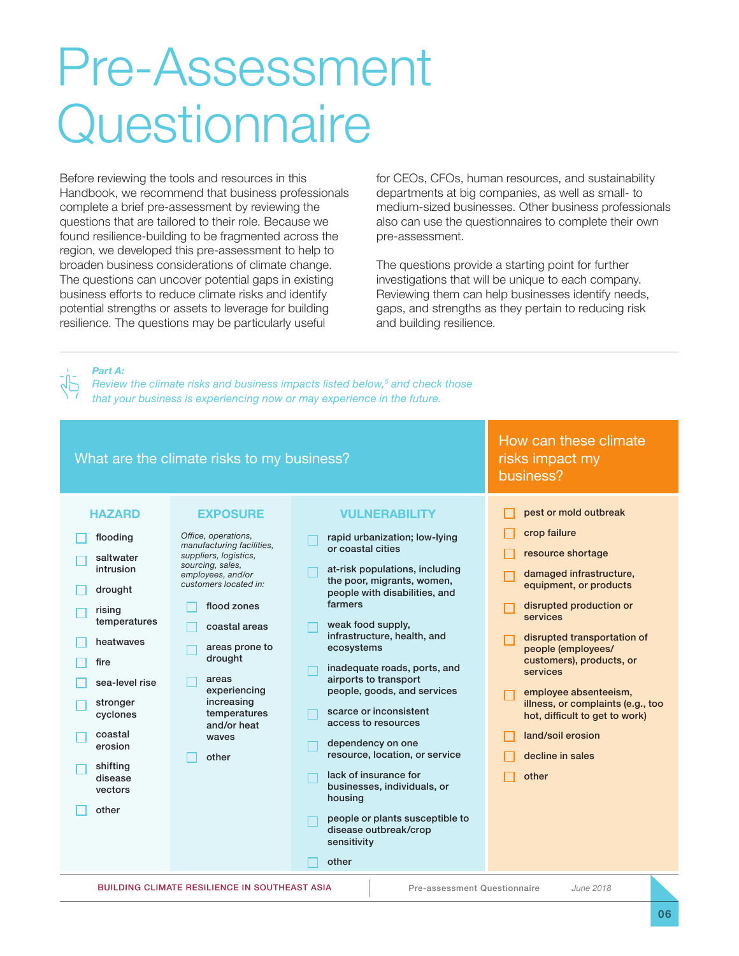# Pre-Assessment **Questionnaire**

Before reviewing the tools and resources in this Handbook, we recommend that business professionals complete a brief pre-assessment by reviewing the questions that are tailored to their role. Because we found resilience-building to be fragmented across the region, we developed this pre-assessment to help to broaden business considerations of climate change. The questions can uncover potential gaps in existing business efforts to reduce climate risks and identify potential strengths or assets to leverage for building resilience. The questions may be particularly useful

for CEOs, CFOs, human resources, and sustainability departments at big companies, as well as small- to medium-sized businesses. Other business professionals also can use the questionnaires to complete their own pre-assessment.

The questions provide a starting point for further investigations that will be unique to each company. Reviewing them can help businesses identify needs, gaps, and strengths as they pertain to reducing risk and building resilience.

*Part A:* 

*Review the climate risks and business impacts listed below,5 and check those that your business is experiencing now or may experience in the future.*

#### BUILDING CLIMATE RESILIENCE IN SOUTHEAST ASIA Pre-assessment Questionnaire *June 2018* **HAZARD**  $\Box$  flooding saltwater intrusion  $\Box$  drought rising temperatures heatwaves fire  $\Box$  sea-level rise stronger cyclones coastal erosion shifting disease vectors  $\Box$  other What are the climate risks to my business? How can these climate risks impact my business? **EXPOSURE** *Office, operations, manufacturing facilities, suppliers, logistics, sourcing, sales, employees, and/or customers located in:* flood zones coastal areas areas prone to drought areas experiencing increasing temperatures and/or heat waves  $\Box$  other **VULNERABILITY**  $\Box$  rapid urbanization; low-lying or coastal cities  $\Box$  at-risk populations, including the poor, migrants, women, people with disabilities, and farmers weak food supply, infrastructure, health, and ecosystems inadequate roads, ports, and airports to transport people, goods, and services scarce or inconsistent access to resources dependency on one resource, location, or service lack of insurance for businesses, individuals, or housing  $\Box$  people or plants susceptible to disease outbreak/crop sensitivity  $\Box$  other pest or mold outbreak crop failure resource shortage damaged infrastructure, equipment, or products  $\Box$  disrupted production or services disrupted transportation of people (employees/ customers), products, or services employee absenteeism, illness, or complaints (e.g., too hot, difficult to get to work) land/soil erosion decline in sales other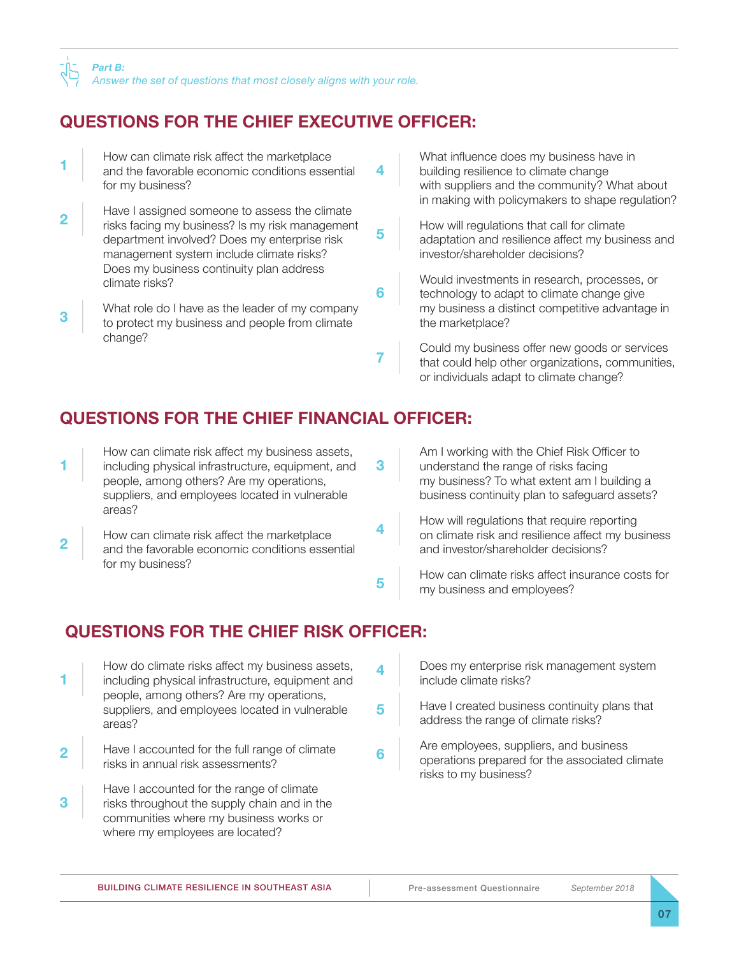# **QUESTIONS FOR THE CHIEF EXECUTIVE OFFICER:**

|                | How can climate risk affect the marketplace<br>and the favorable economic conditions essential<br>for my business?                                                                                                                       | 4 | What influence does my business have in<br>building resilience to climate change<br>with suppliers and the community? What about<br>in making with policymakers to shape regulation? |
|----------------|------------------------------------------------------------------------------------------------------------------------------------------------------------------------------------------------------------------------------------------|---|--------------------------------------------------------------------------------------------------------------------------------------------------------------------------------------|
| $\overline{2}$ | Have I assigned someone to assess the climate<br>risks facing my business? Is my risk management<br>department involved? Does my enterprise risk<br>management system include climate risks?<br>Does my business continuity plan address | 5 | How will regulations that call for climate<br>adaptation and resilience affect my business and<br>investor/shareholder decisions?                                                    |
| 3              | climate risks?<br>What role do I have as the leader of my company<br>to protect my business and people from climate                                                                                                                      | 6 | Would investments in research, processes, or<br>technology to adapt to climate change give<br>my business a distinct competitive advantage in<br>the marketplace?                    |
|                | change?                                                                                                                                                                                                                                  |   | Could my business offer new goods or services<br>that could help other organizations, communities,<br>or individuals adapt to climate change?                                        |

# **QUESTIONS FOR THE CHIEF FINANCIAL OFFICER:**

| How can climate risk affect my business assets,<br>including physical infrastructure, equipment, and<br>people, among others? Are my operations,<br>suppliers, and employees located in vulnerable<br>areas? | Am I working with the Chief Risk Officer to<br>understand the range of risks facing<br>my business? To what extent am I building a<br>business continuity plan to safeguard assets? |
|--------------------------------------------------------------------------------------------------------------------------------------------------------------------------------------------------------------|-------------------------------------------------------------------------------------------------------------------------------------------------------------------------------------|
| How can climate risk affect the marketplace<br>and the favorable economic conditions essential                                                                                                               | How will regulations that require reporting<br>on climate risk and resilience affect my business<br>and investor/shareholder decisions?                                             |
| for my business?                                                                                                                                                                                             | How can climate risks affect insurance costs for<br>my business and employees?                                                                                                      |

# **QUESTIONS FOR THE CHIEF RISK OFFICER:**

|                | How do climate risks affect my business assets,<br>including physical infrastructure, equipment and                                                                    |   | Does my enterprise risk management system<br>include climate risks?                                               |
|----------------|------------------------------------------------------------------------------------------------------------------------------------------------------------------------|---|-------------------------------------------------------------------------------------------------------------------|
|                | people, among others? Are my operations,<br>suppliers, and employees located in vulnerable<br>areas?                                                                   | 5 | Have I created business continuity plans that<br>address the range of climate risks?                              |
| $\overline{2}$ | Have I accounted for the full range of climate<br>risks in annual risk assessments?                                                                                    | 6 | Are employees, suppliers, and business<br>operations prepared for the associated climate<br>risks to my business? |
| 3              | Have I accounted for the range of climate<br>risks throughout the supply chain and in the<br>communities where my business works or<br>where my employees are located? |   |                                                                                                                   |

 $\overline{1}$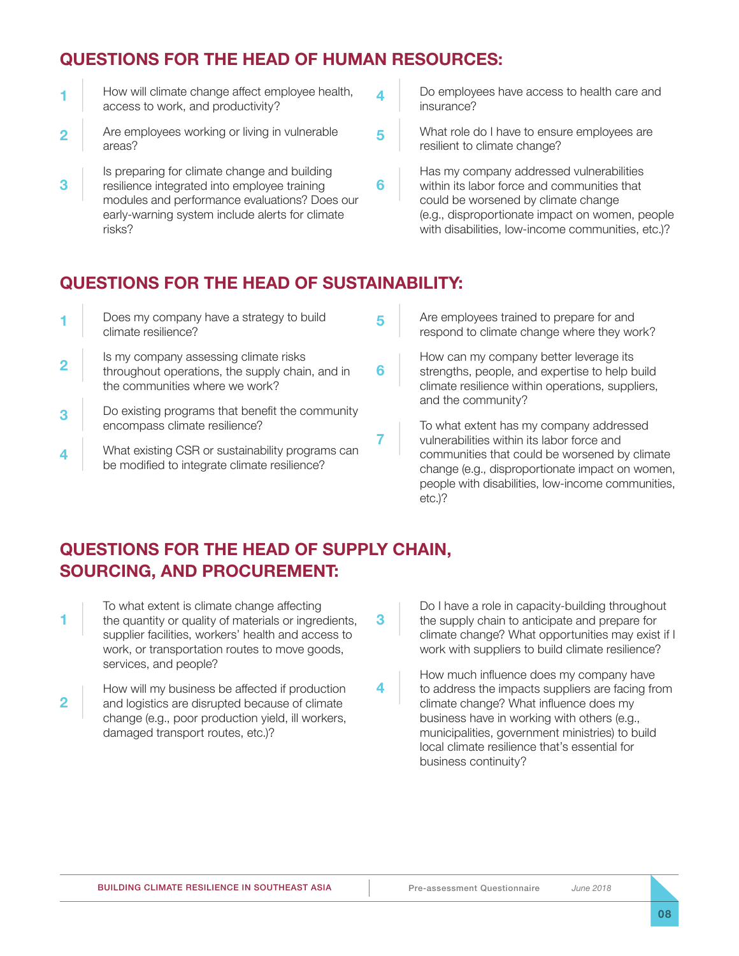### **QUESTIONS FOR THE HEAD OF HUMAN RESOURCES:**

|                | How will climate change affect employee health,<br>access to work, and productivity?                                                                                                                       |   | Do employees have access to health care and<br>insurance?                                                                                                                                                                              |
|----------------|------------------------------------------------------------------------------------------------------------------------------------------------------------------------------------------------------------|---|----------------------------------------------------------------------------------------------------------------------------------------------------------------------------------------------------------------------------------------|
| $\overline{2}$ | Are employees working or living in vulnerable<br>areas?                                                                                                                                                    | 5 | What role do I have to ensure employees are<br>resilient to climate change?                                                                                                                                                            |
| 3              | Is preparing for climate change and building<br>resilience integrated into employee training<br>modules and performance evaluations? Does our<br>early-warning system include alerts for climate<br>risks? | b | Has my company addressed vulnerabilities<br>within its labor force and communities that<br>could be worsened by climate change<br>(e.g., disproportionate impact on women, people<br>with disabilities, low-income communities, etc.)? |

#### **QUESTIONS FOR THE HEAD OF SUSTAINABILITY:**

 $\mathbf{r}$ 

|                  | Does my company have a strategy to build<br>climate resilience?                                                            |   | Are employees trained to prepare for and<br>respond to climate change where they work?                                                                                                                           |
|------------------|----------------------------------------------------------------------------------------------------------------------------|---|------------------------------------------------------------------------------------------------------------------------------------------------------------------------------------------------------------------|
| $\mathbf{2}$     | Is my company assessing climate risks<br>throughout operations, the supply chain, and in<br>the communities where we work? | 6 | How can my company better leverage its<br>strengths, people, and expertise to help build<br>climate resilience within operations, suppliers,<br>and the community?                                               |
| 3                | Do existing programs that benefit the community<br>encompass climate resilience?                                           |   | To what extent has my company addressed                                                                                                                                                                          |
| $\boldsymbol{4}$ | What existing CSR or sustainability programs can<br>be modified to integrate climate resilience?                           |   | vulnerabilities within its labor force and<br>communities that could be worsened by climate<br>change (e.g., disproportionate impact on women,<br>people with disabilities, low-income communities,<br>$etc.$ )? |

Ĩ.

# **QUESTIONS FOR THE HEAD OF SUPPLY CHAIN, SOURCING, AND PROCUREMENT:**

| To what extent is climate change affecting<br>the quantity or quality of materials or ingredients,<br>supplier facilities, workers' health and access to<br>work, or transportation routes to move goods, | -3 | Do I have a role<br>the supply chair<br>climate change?<br>work with suppl |
|-----------------------------------------------------------------------------------------------------------------------------------------------------------------------------------------------------------|----|----------------------------------------------------------------------------|
| services, and people?                                                                                                                                                                                     |    | How much influ                                                             |
| How will my business be affected if production<br>and logistics are disrupted because of climate                                                                                                          |    | to address the in<br>climate change?                                       |

a logistics are disrupted because of climate change (e.g., poor production yield, ill workers, damaged transport routes, etc.)?

in capacity-building throughout n to anticipate and prepare for ? What opportunities may exist if I liers to build climate resilience?

ence does my company have mpacts suppliers are facing from climate change? What influence does my business have in working with others (e.g., municipalities, government ministries) to build local climate resilience that's essential for business continuity?

**08**